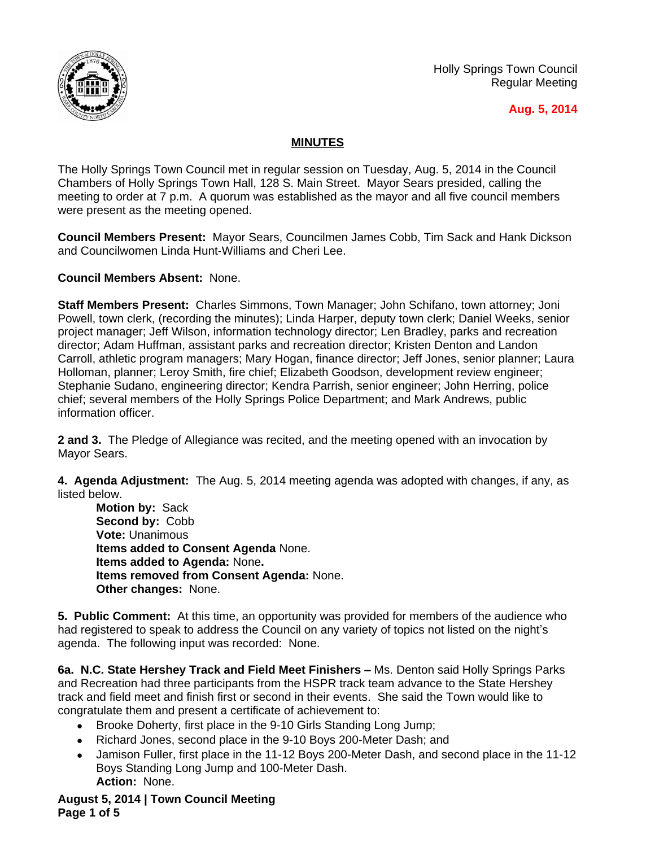

Holly Springs Town Council Regular Meeting

# **Aug. 5, 2014**

# **MINUTES**

The Holly Springs Town Council met in regular session on Tuesday, Aug. 5, 2014 in the Council Chambers of Holly Springs Town Hall, 128 S. Main Street. Mayor Sears presided, calling the meeting to order at 7 p.m. A quorum was established as the mayor and all five council members were present as the meeting opened.

**Council Members Present:** Mayor Sears, Councilmen James Cobb, Tim Sack and Hank Dickson and Councilwomen Linda Hunt-Williams and Cheri Lee.

**Council Members Absent:** None.

**Staff Members Present:** Charles Simmons, Town Manager; John Schifano, town attorney; Joni Powell, town clerk, (recording the minutes); Linda Harper, deputy town clerk; Daniel Weeks, senior project manager; Jeff Wilson, information technology director; Len Bradley, parks and recreation director; Adam Huffman, assistant parks and recreation director; Kristen Denton and Landon Carroll, athletic program managers; Mary Hogan, finance director; Jeff Jones, senior planner; Laura Holloman, planner; Leroy Smith, fire chief; Elizabeth Goodson, development review engineer; Stephanie Sudano, engineering director; Kendra Parrish, senior engineer; John Herring, police chief; several members of the Holly Springs Police Department; and Mark Andrews, public information officer.

**2 and 3.** The Pledge of Allegiance was recited, and the meeting opened with an invocation by Mayor Sears.

**4. Agenda Adjustment:** The Aug. 5, 2014 meeting agenda was adopted with changes, if any, as listed below.

**Motion by:** Sack **Second by:** Cobb **Vote:** Unanimous **Items added to Consent Agenda** None. **Items added to Agenda:** None**. Items removed from Consent Agenda:** None. **Other changes:** None.

**5. Public Comment:** At this time, an opportunity was provided for members of the audience who had registered to speak to address the Council on any variety of topics not listed on the night's agenda. The following input was recorded: None.

6a. N.C. State Hershey Track and Field Meet Finishers - Ms. Denton said Holly Springs Parks and Recreation had three participants from the HSPR track team advance to the State Hershey track and field meet and finish first or second in their events. She said the Town would like to congratulate them and present a certificate of achievement to:

- Brooke Doherty, first place in the 9-10 Girls Standing Long Jump:
- Richard Jones, second place in the 9-10 Boys 200-Meter Dash; and
- Jamison Fuller, first place in the 11-12 Boys 200-Meter Dash, and second place in the 11-12 Boys Standing Long Jump and 100-Meter Dash. **Action:** None.

**August 5, 2014 | Town Council Meeting Page 1 of 5**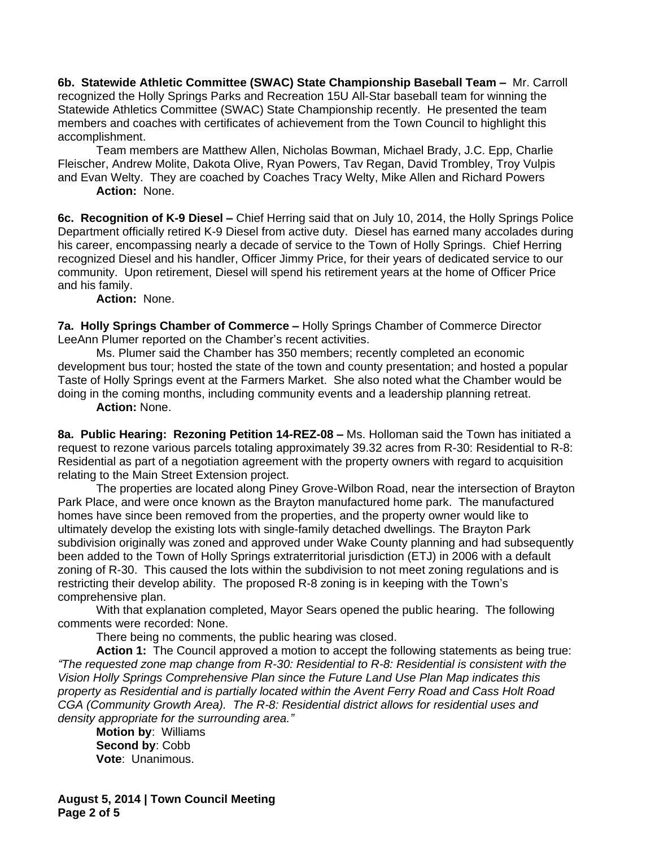**6b. Statewide Athletic Committee (SWAC) State Championship Baseball Team –** Mr. Carroll recognized the Holly Springs Parks and Recreation 15U All-Star baseball team for winning the Statewide Athletics Committee (SWAC) State Championship recently. He presented the team members and coaches with certificates of achievement from the Town Council to highlight this accomplishment.

Team members are Matthew Allen, Nicholas Bowman, Michael Brady, J.C. Epp, Charlie Fleischer, Andrew Molite, Dakota Olive, Ryan Powers, Tav Regan, David Trombley, Troy Vulpis and Evan Welty. They are coached by Coaches Tracy Welty, Mike Allen and Richard Powers **Action:** None.

**6c. Recognition of K-9 Diesel –** Chief Herring said that on July 10, 2014, the Holly Springs Police Department officially retired K-9 Diesel from active duty. Diesel has earned many accolades during his career, encompassing nearly a decade of service to the Town of Holly Springs. Chief Herring recognized Diesel and his handler, Officer Jimmy Price, for their years of dedicated service to our community. Upon retirement, Diesel will spend his retirement years at the home of Officer Price and his family.

**Action:** None.

**7a. Holly Springs Chamber of Commerce –** Holly Springs Chamber of Commerce Director LeeAnn Plumer reported on the Chamber's recent activities.

Ms. Plumer said the Chamber has 350 members; recently completed an economic development bus tour; hosted the state of the town and county presentation; and hosted a popular Taste of Holly Springs event at the Farmers Market. She also noted what the Chamber would be doing in the coming months, including community events and a leadership planning retreat.

**Action:** None.

**8a. Public Hearing: Rezoning Petition 14-REZ-08 –** Ms. Holloman said the Town has initiated a request to rezone various parcels totaling approximately 39.32 acres from R-30: Residential to R-8: Residential as part of a negotiation agreement with the property owners with regard to acquisition relating to the Main Street Extension project.

The properties are located along Piney Grove-Wilbon Road, near the intersection of Brayton Park Place, and were once known as the Brayton manufactured home park. The manufactured homes have since been removed from the properties, and the property owner would like to ultimately develop the existing lots with single-family detached dwellings. The Brayton Park subdivision originally was zoned and approved under Wake County planning and had subsequently been added to the Town of Holly Springs extraterritorial jurisdiction (ETJ) in 2006 with a default zoning of R-30. This caused the lots within the subdivision to not meet zoning regulations and is restricting their develop ability. The proposed R-8 zoning is in keeping with the Town's comprehensive plan.

With that explanation completed, Mayor Sears opened the public hearing. The following comments were recorded: None.

There being no comments, the public hearing was closed.

**Action 1:** The Council approved a motion to accept the following statements as being true: *"The requested zone map change from R-30: Residential to R-8: Residential is consistent with the Vision Holly Springs Comprehensive Plan since the Future Land Use Plan Map indicates this property as Residential and is partially located within the Avent Ferry Road and Cass Holt Road CGA (Community Growth Area). The R-8: Residential district allows for residential uses and density appropriate for the surrounding area."*

**Motion by**: Williams **Second by**: Cobb **Vote**: Unanimous.

**August 5, 2014 | Town Council Meeting Page 2 of 5**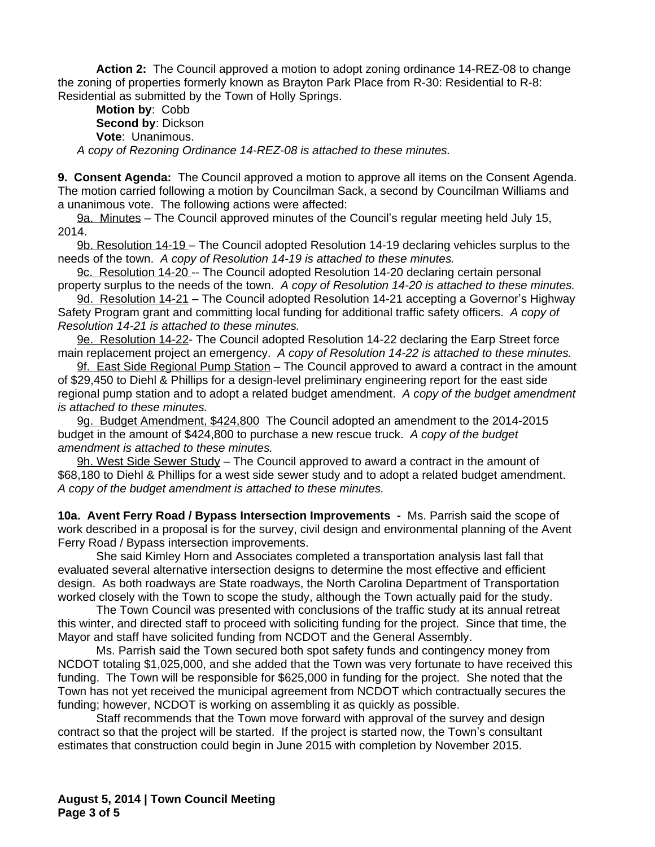**Action 2:** The Council approved a motion to adopt zoning ordinance 14-REZ-08 to change the zoning of properties formerly known as Brayton Park Place from R-30: Residential to R-8: Residential as submitted by the Town of Holly Springs.

**Motion by**: Cobb **Second by**: Dickson **Vote**: Unanimous. *A copy of Rezoning Ordinance 14-REZ-08 is attached to these minutes.*

**9. Consent Agenda:** The Council approved a motion to approve all items on the Consent Agenda. The motion carried following a motion by Councilman Sack, a second by Councilman Williams and a unanimous vote. The following actions were affected:

9a. Minutes – The Council approved minutes of the Council's regular meeting held July 15, 2014.

9b. Resolution 14-19 – The Council adopted Resolution 14-19 declaring vehicles surplus to the needs of the town. *A copy of Resolution 14-19 is attached to these minutes.*

9c. Resolution 14-20 -- The Council adopted Resolution 14-20 declaring certain personal property surplus to the needs of the town. *A copy of Resolution 14-20 is attached to these minutes.*

9d. Resolution 14-21 - The Council adopted Resolution 14-21 accepting a Governor's Highway Safety Program grant and committing local funding for additional traffic safety officers. *A copy of Resolution 14-21 is attached to these minutes.*

9e. Resolution 14-22- The Council adopted Resolution 14-22 declaring the Earp Street force main replacement project an emergency. *A copy of Resolution 14-22 is attached to these minutes.*

9f. East Side Regional Pump Station - The Council approved to award a contract in the amount of \$29,450 to Diehl & Phillips for a design-level preliminary engineering report for the east side regional pump station and to adopt a related budget amendment. *A copy of the budget amendment is attached to these minutes.*

9g. Budget Amendment, \$424,800 The Council adopted an amendment to the 2014-2015 budget in the amount of \$424,800 to purchase a new rescue truck. *A copy of the budget amendment is attached to these minutes.*

9h. West Side Sewer Study – The Council approved to award a contract in the amount of \$68,180 to Diehl & Phillips for a west side sewer study and to adopt a related budget amendment. *A copy of the budget amendment is attached to these minutes.*

**10a. Avent Ferry Road / Bypass Intersection Improvements -** Ms. Parrish said the scope of work described in a proposal is for the survey, civil design and environmental planning of the Avent Ferry Road / Bypass intersection improvements.

She said Kimley Horn and Associates completed a transportation analysis last fall that evaluated several alternative intersection designs to determine the most effective and efficient design. As both roadways are State roadways, the North Carolina Department of Transportation worked closely with the Town to scope the study, although the Town actually paid for the study.

The Town Council was presented with conclusions of the traffic study at its annual retreat this winter, and directed staff to proceed with soliciting funding for the project. Since that time, the Mayor and staff have solicited funding from NCDOT and the General Assembly.

Ms. Parrish said the Town secured both spot safety funds and contingency money from NCDOT totaling \$1,025,000, and she added that the Town was very fortunate to have received this funding. The Town will be responsible for \$625,000 in funding for the project. She noted that the Town has not yet received the municipal agreement from NCDOT which contractually secures the funding; however, NCDOT is working on assembling it as quickly as possible.

Staff recommends that the Town move forward with approval of the survey and design contract so that the project will be started. If the project is started now, the Town's consultant estimates that construction could begin in June 2015 with completion by November 2015.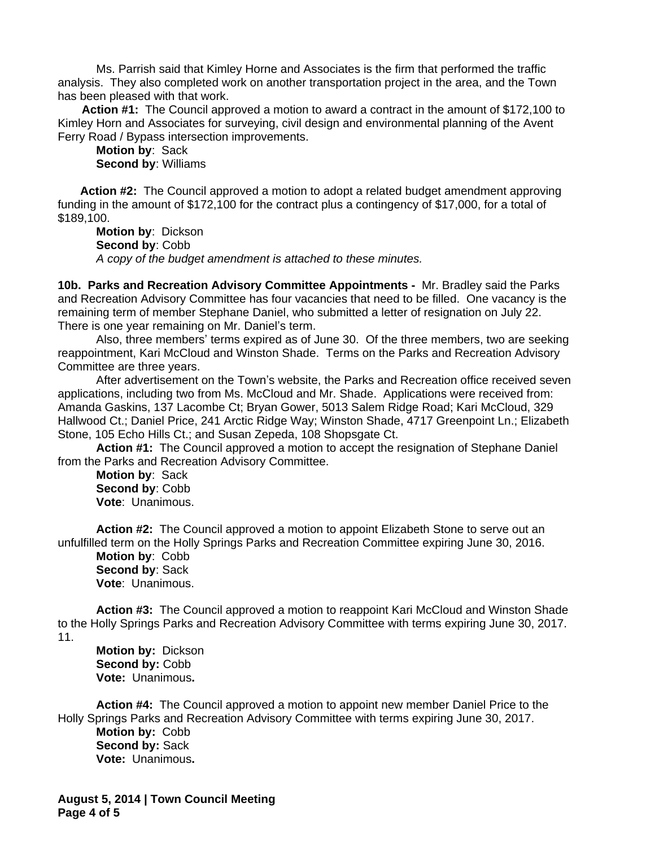Ms. Parrish said that Kimley Horne and Associates is the firm that performed the traffic analysis. They also completed work on another transportation project in the area, and the Town has been pleased with that work.

**Action #1:** The Council approved a motion to award a contract in the amount of \$172,100 to Kimley Horn and Associates for surveying, civil design and environmental planning of the Avent Ferry Road / Bypass intersection improvements.

**Motion by**: Sack **Second by**: Williams

**Action #2:** The Council approved a motion to adopt a related budget amendment approving funding in the amount of \$172,100 for the contract plus a contingency of \$17,000, for a total of \$189,100.

**Motion by**: Dickson **Second by**: Cobb *A copy of the budget amendment is attached to these minutes.*

**10b. Parks and Recreation Advisory Committee Appointments -** Mr. Bradley said the Parks and Recreation Advisory Committee has four vacancies that need to be filled. One vacancy is the remaining term of member Stephane Daniel, who submitted a letter of resignation on July 22. There is one year remaining on Mr. Daniel's term.

Also, three members' terms expired as of June 30. Of the three members, two are seeking reappointment, Kari McCloud and Winston Shade. Terms on the Parks and Recreation Advisory Committee are three years.

After advertisement on the Town's website, the Parks and Recreation office received seven applications, including two from Ms. McCloud and Mr. Shade. Applications were received from: Amanda Gaskins, 137 Lacombe Ct; Bryan Gower, 5013 Salem Ridge Road; Kari McCloud, 329 Hallwood Ct.; Daniel Price, 241 Arctic Ridge Way; Winston Shade, 4717 Greenpoint Ln.; Elizabeth Stone, 105 Echo Hills Ct.; and Susan Zepeda, 108 Shopsgate Ct.

**Action #1:** The Council approved a motion to accept the resignation of Stephane Daniel from the Parks and Recreation Advisory Committee.

**Motion by**: Sack **Second by**: Cobb **Vote**: Unanimous.

**Action #2:** The Council approved a motion to appoint Elizabeth Stone to serve out an unfulfilled term on the Holly Springs Parks and Recreation Committee expiring June 30, 2016. **Motion by**: Cobb **Second by**: Sack **Vote**: Unanimous.

**Action #3:** The Council approved a motion to reappoint Kari McCloud and Winston Shade to the Holly Springs Parks and Recreation Advisory Committee with terms expiring June 30, 2017. 11.

**Motion by:** Dickson **Second by:** Cobb **Vote:** Unanimous**.**

**Action #4:** The Council approved a motion to appoint new member Daniel Price to the Holly Springs Parks and Recreation Advisory Committee with terms expiring June 30, 2017. **Motion by:** Cobb **Second by:** Sack **Vote:** Unanimous**.**

**August 5, 2014 | Town Council Meeting Page 4 of 5**